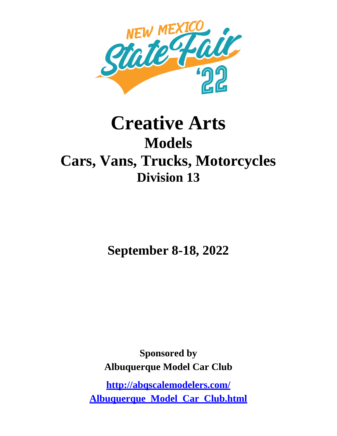

# **Creative Arts Models Cars, Vans, Trucks, Motorcycles Division 13**

**September 8-18, 2022**

**Sponsored by Albuquerque Model Car Club**

**http://abqscalemodelers.com/ Albuquerque\_Model\_Car\_Club.html**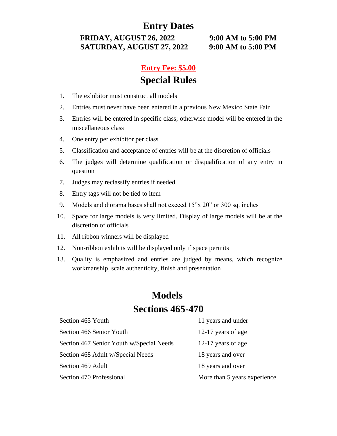### **Entry Dates**

**FRIDAY, AUGUST 26, 2022 9:00 AM to 5:00 PM SATURDAY, AUGUST 27, 2022 9:00 AM to 5:00 PM**

### **Entry Fee: \$5.00 Special Rules**

- 1. The exhibitor must construct all models
- 2. Entries must never have been entered in a previous New Mexico State Fair
- 3. Entries will be entered in specific class; otherwise model will be entered in the miscellaneous class
- 4. One entry per exhibitor per class
- 5. Classification and acceptance of entries will be at the discretion of officials
- 6. The judges will determine qualification or disqualification of any entry in question
- 7. Judges may reclassify entries if needed
- 8. Entry tags will not be tied to item
- 9. Models and diorama bases shall not exceed 15"x 20" or 300 sq. inches
- 10. Space for large models is very limited. Display of large models will be at the discretion of officials
- 11. All ribbon winners will be displayed
- 12. Non-ribbon exhibits will be displayed only if space permits
- 13. Quality is emphasized and entries are judged by means, which recognize workmanship, scale authenticity, finish and presentation

### **Models Sections 465-470**

| Section 465 Youth                        | 11 years and under           |
|------------------------------------------|------------------------------|
| Section 466 Senior Youth                 | 12-17 years of age           |
| Section 467 Senior Youth w/Special Needs | 12-17 years of age           |
| Section 468 Adult w/Special Needs        | 18 years and over            |
| Section 469 Adult                        | 18 years and over            |
| Section 470 Professional                 | More than 5 years experience |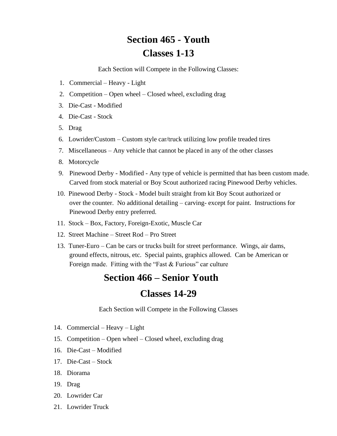## **Section 465 - Youth Classes 1-13**

Each Section will Compete in the Following Classes:

- 1. Commercial Heavy Light
- 2. Competition Open wheel Closed wheel, excluding drag
- 3. Die-Cast Modified
- 4. Die-Cast Stock
- 5. Drag
- 6. Lowrider/Custom Custom style car/truck utilizing low profile treaded tires
- 7. Miscellaneous Any vehicle that cannot be placed in any of the other classes
- 8. Motorcycle
- 9. Pinewood Derby Modified Any type of vehicle is permitted that has been custom made. Carved from stock material or Boy Scout authorized racing Pinewood Derby vehicles.
- 10. Pinewood Derby Stock Model built straight from kit Boy Scout authorized or over the counter. No additional detailing – carving- except for paint. Instructions for Pinewood Derby entry preferred.
- 11. Stock Box, Factory, Foreign-Exotic, Muscle Car
- 12. Street Machine Street Rod Pro Street
- 13. Tuner-Euro Can be cars or trucks built for street performance. Wings, air dams, ground effects, nitrous, etc. Special paints, graphics allowed. Can be American or Foreign made. Fitting with the "Fast & Furious" car culture

### **Section 466 – Senior Youth**

### **Classes 14-29**

Each Section will Compete in the Following Classes

- 14. Commercial Heavy Light
- 15. Competition Open wheel Closed wheel, excluding drag
- 16. Die-Cast Modified
- 17. Die-Cast Stock
- 18. Diorama
- 19. Drag
- 20. Lowrider Car
- 21. Lowrider Truck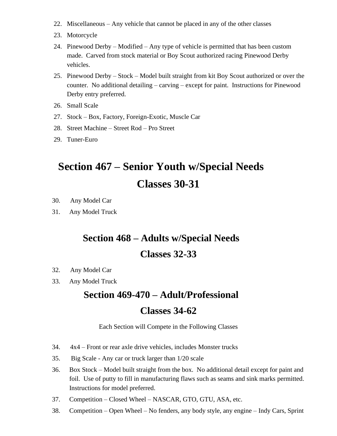- 22. Miscellaneous Any vehicle that cannot be placed in any of the other classes
- 23. Motorcycle
- 24. Pinewood Derby Modified Any type of vehicle is permitted that has been custom made. Carved from stock material or Boy Scout authorized racing Pinewood Derby vehicles.
- 25. Pinewood Derby Stock Model built straight from kit Boy Scout authorized or over the counter. No additional detailing – carving – except for paint. Instructions for Pinewood Derby entry preferred.
- 26. Small Scale
- 27. Stock Box, Factory, Foreign-Exotic, Muscle Car
- 28. Street Machine Street Rod Pro Street
- 29. Tuner-Euro

## **Section 467 – Senior Youth w/Special Needs Classes 30-31**

- 30. Any Model Car
- 31. Any Model Truck

## **Section 468 – Adults w/Special Needs Classes 32-33**

- 32. Any Model Car
- 33. Any Model Truck

## **Section 469-470 – Adult/Professional Classes 34-62**

### Each Section will Compete in the Following Classes

- 34. 4x4 Front or rear axle drive vehicles, includes Monster trucks
- 35. Big Scale Any car or truck larger than 1/20 scale
- 36. Box Stock Model built straight from the box. No additional detail except for paint and foil. Use of putty to fill in manufacturing flaws such as seams and sink marks permitted. Instructions for model preferred.
- 37. Competition Closed Wheel NASCAR, GTO, GTU, ASA, etc.
- 38. Competition Open Wheel No fenders, any body style, any engine Indy Cars, Sprint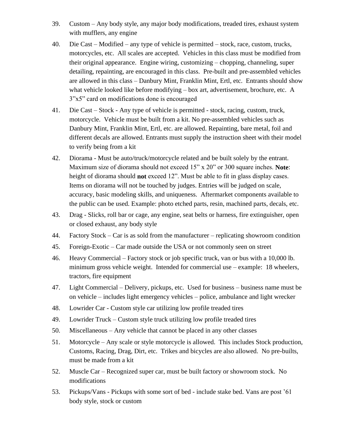- 39. Custom Any body style, any major body modifications, treaded tires, exhaust system with mufflers, any engine
- 40. Die Cast Modified any type of vehicle is permitted stock, race, custom, trucks, motorcycles, etc. All scales are accepted. Vehicles in this class must be modified from their original appearance. Engine wiring, customizing – chopping, channeling, super detailing, repainting, are encouraged in this class. Pre-built and pre-assembled vehicles are allowed in this class – Danbury Mint, Franklin Mint, Ertl, etc. Entrants should show what vehicle looked like before modifying – box art, advertisement, brochure, etc. A 3"x5" card on modifications done is encouraged
- 41. Die Cast Stock Any type of vehicle is permitted stock, racing, custom, truck, motorcycle. Vehicle must be built from a kit. No pre-assembled vehicles such as Danbury Mint, Franklin Mint, Ertl, etc. are allowed. Repainting, bare metal, foil and different decals are allowed. Entrants must supply the instruction sheet with their model to verify being from a kit
- 42. Diorama Must be auto/truck/motorcycle related and be built solely by the entrant. Maximum size of diorama should not exceed 15" x 20" or 300 square inches. **Note**: height of diorama should **not** exceed 12". Must be able to fit in glass display cases. Items on diorama will not be touched by judges. Entries will be judged on scale, accuracy, basic modeling skills, and uniqueness. Aftermarket components available to the public can be used. Example: photo etched parts, resin, machined parts, decals, etc.
- 43. Drag Slicks, roll bar or cage, any engine, seat belts or harness, fire extinguisher, open or closed exhaust, any body style
- 44. Factory Stock Car is as sold from the manufacturer replicating showroom condition
- 45. Foreign-Exotic Car made outside the USA or not commonly seen on street
- 46. Heavy Commercial Factory stock or job specific truck, van or bus with a 10,000 lb. minimum gross vehicle weight. Intended for commercial use – example: 18 wheelers, tractors, fire equipment
- 47. Light Commercial Delivery, pickups, etc. Used for business business name must be on vehicle – includes light emergency vehicles – police, ambulance and light wrecker
- 48. Lowrider Car Custom style car utilizing low profile treaded tires
- 49. Lowrider Truck Custom style truck utilizing low profile treaded tires
- 50. Miscellaneous Any vehicle that cannot be placed in any other classes
- 51. Motorcycle Any scale or style motorcycle is allowed. This includes Stock production, Customs, Racing, Drag, Dirt, etc. Trikes and bicycles are also allowed. No pre-builts, must be made from a kit
- 52. Muscle Car Recognized super car, must be built factory or showroom stock. No modifications
- 53. Pickups/Vans Pickups with some sort of bed include stake bed. Vans are post '61 body style, stock or custom